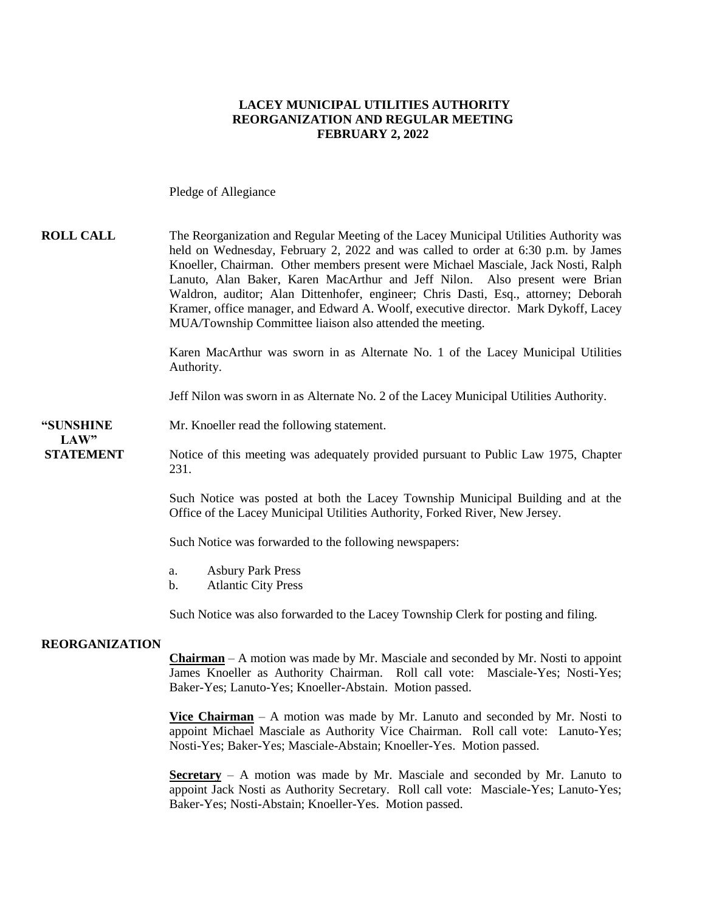#### **LACEY MUNICIPAL UTILITIES AUTHORITY REORGANIZATION AND REGULAR MEETING FEBRUARY 2, 2022**

Pledge of Allegiance

#### **ROLL CALL** The Reorganization and Regular Meeting of the Lacey Municipal Utilities Authority was held on Wednesday, February 2, 2022 and was called to order at 6:30 p.m. by James Knoeller, Chairman. Other members present were Michael Masciale, Jack Nosti, Ralph Lanuto, Alan Baker, Karen MacArthur and Jeff Nilon. Also present were Brian Waldron, auditor; Alan Dittenhofer, engineer; Chris Dasti, Esq., attorney; Deborah Kramer, office manager, and Edward A. Woolf, executive director. Mark Dykoff, Lacey MUA/Township Committee liaison also attended the meeting.

Karen MacArthur was sworn in as Alternate No. 1 of the Lacey Municipal Utilities Authority.

Jeff Nilon was sworn in as Alternate No. 2 of the Lacey Municipal Utilities Authority.

#### **"SUNSHINE** Mr. Knoeller read the following statement. **LAW**"

**STATEMENT** Notice of this meeting was adequately provided pursuant to Public Law 1975, Chapter 231.

> Such Notice was posted at both the Lacey Township Municipal Building and at the Office of the Lacey Municipal Utilities Authority, Forked River, New Jersey.

Such Notice was forwarded to the following newspapers:

- a. Asbury Park Press
- b. Atlantic City Press

Such Notice was also forwarded to the Lacey Township Clerk for posting and filing.

#### **REORGANIZATION**

**Chairman** – A motion was made by Mr. Masciale and seconded by Mr. Nosti to appoint James Knoeller as Authority Chairman. Roll call vote: Masciale-Yes; Nosti-Yes; Baker-Yes; Lanuto-Yes; Knoeller-Abstain. Motion passed.

**Vice Chairman** – A motion was made by Mr. Lanuto and seconded by Mr. Nosti to appoint Michael Masciale as Authority Vice Chairman. Roll call vote: Lanuto-Yes; Nosti-Yes; Baker-Yes; Masciale-Abstain; Knoeller-Yes. Motion passed.

**Secretary** – A motion was made by Mr. Masciale and seconded by Mr. Lanuto to appoint Jack Nosti as Authority Secretary. Roll call vote: Masciale-Yes; Lanuto-Yes; Baker-Yes; Nosti-Abstain; Knoeller-Yes. Motion passed.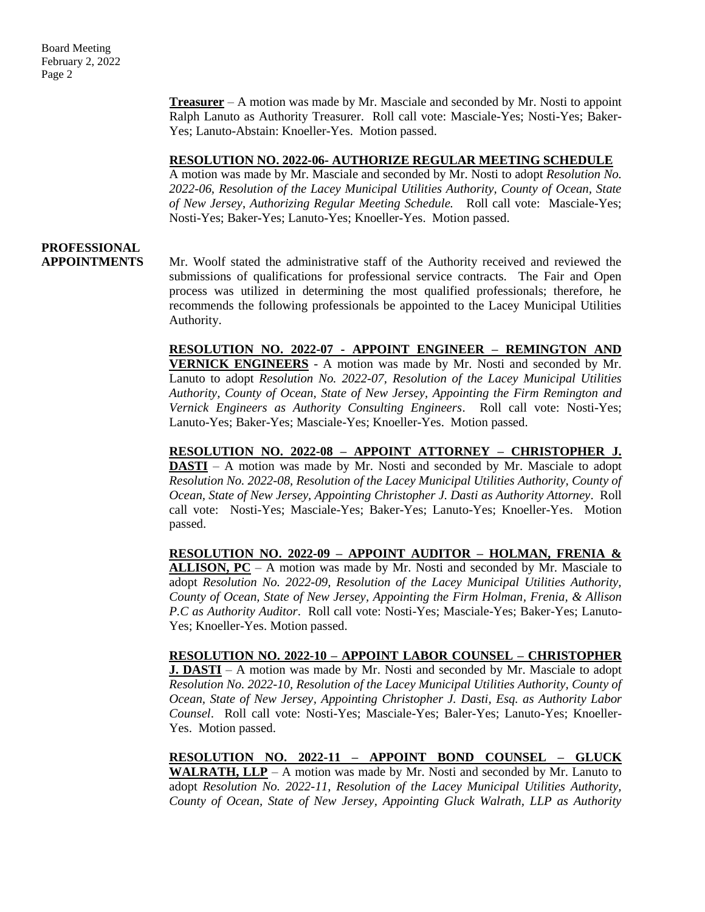Board Meeting February 2, 2022 Page 2

> **Treasurer** – A motion was made by Mr. Masciale and seconded by Mr. Nosti to appoint Ralph Lanuto as Authority Treasurer. Roll call vote: Masciale-Yes; Nosti-Yes; Baker-Yes; Lanuto-Abstain: Knoeller-Yes. Motion passed.

#### **RESOLUTION NO. 2022-06- AUTHORIZE REGULAR MEETING SCHEDULE**

A motion was made by Mr. Masciale and seconded by Mr. Nosti to adopt *Resolution No. 2022-06, Resolution of the Lacey Municipal Utilities Authority, County of Ocean, State of New Jersey*, *Authorizing Regular Meeting Schedule.* Roll call vote: Masciale-Yes; Nosti-Yes; Baker-Yes; Lanuto-Yes; Knoeller-Yes. Motion passed.

## **PROFESSIONAL**

**APPOINTMENTS** Mr. Woolf stated the administrative staff of the Authority received and reviewed the submissions of qualifications for professional service contracts. The Fair and Open process was utilized in determining the most qualified professionals; therefore, he recommends the following professionals be appointed to the Lacey Municipal Utilities Authority.

> **RESOLUTION NO. 2022-07 - APPOINT ENGINEER – REMINGTON AND VERNICK ENGINEERS** - A motion was made by Mr. Nosti and seconded by Mr. Lanuto to adopt *Resolution No. 2022-07, Resolution of the Lacey Municipal Utilities Authority, County of Ocean, State of New Jersey, Appointing the Firm Remington and Vernick Engineers as Authority Consulting Engineers*. Roll call vote: Nosti-Yes; Lanuto-Yes; Baker-Yes; Masciale-Yes; Knoeller-Yes. Motion passed.

> **RESOLUTION NO. 2022-08 – APPOINT ATTORNEY – CHRISTOPHER J. DASTI** – A motion was made by Mr. Nosti and seconded by Mr. Masciale to adopt *Resolution No. 2022-08, Resolution of the Lacey Municipal Utilities Authority, County of Ocean, State of New Jersey, Appointing Christopher J. Dasti as Authority Attorney*. Roll call vote: Nosti-Yes; Masciale-Yes; Baker-Yes; Lanuto-Yes; Knoeller-Yes. Motion passed.

> **RESOLUTION NO. 2022-09 – APPOINT AUDITOR – HOLMAN, FRENIA & ALLISON, PC** – A motion was made by Mr. Nosti and seconded by Mr. Masciale to adopt *Resolution No. 2022-09, Resolution of the Lacey Municipal Utilities Authority, County of Ocean, State of New Jersey, Appointing the Firm Holman, Frenia, & Allison P.C as Authority Auditor*. Roll call vote: Nosti-Yes; Masciale-Yes; Baker-Yes; Lanuto-Yes; Knoeller-Yes. Motion passed.

> **RESOLUTION NO. 2022-10 – APPOINT LABOR COUNSEL – CHRISTOPHER J. DASTI** – A motion was made by Mr. Nosti and seconded by Mr. Masciale to adopt *Resolution No. 2022-10, Resolution of the Lacey Municipal Utilities Authority, County of Ocean, State of New Jersey, Appointing Christopher J. Dasti, Esq. as Authority Labor Counsel*. Roll call vote: Nosti-Yes; Masciale-Yes; Baler-Yes; Lanuto-Yes; Knoeller-Yes. Motion passed.

> **RESOLUTION NO. 2022-11 – APPOINT BOND COUNSEL – GLUCK WALRATH, LLP** – A motion was made by Mr. Nosti and seconded by Mr. Lanuto to adopt *Resolution No. 2022-11, Resolution of the Lacey Municipal Utilities Authority, County of Ocean, State of New Jersey, Appointing Gluck Walrath, LLP as Authority*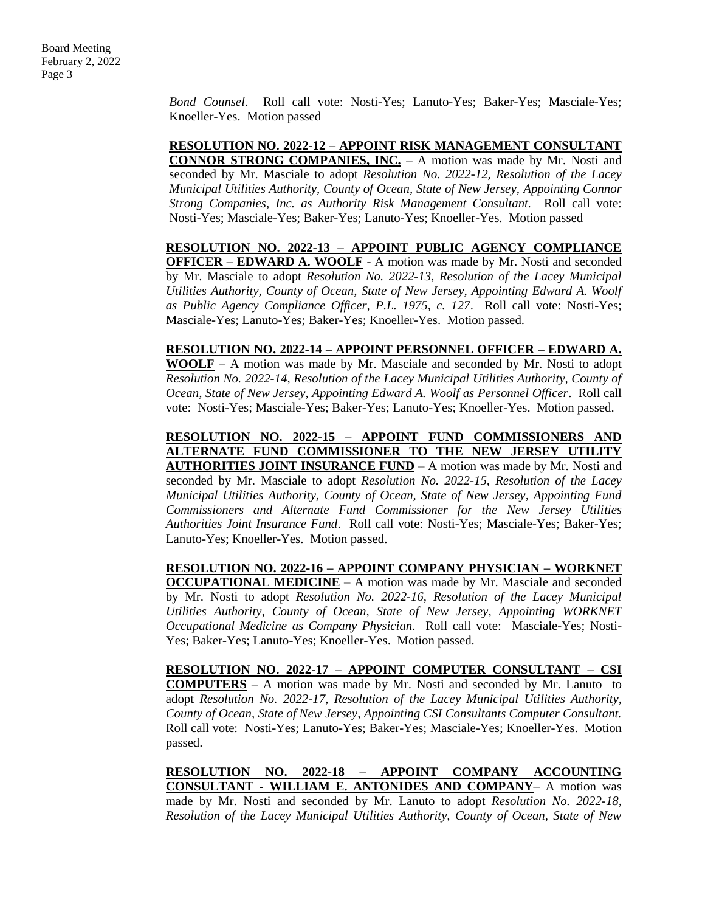*Bond Counsel*. Roll call vote: Nosti-Yes; Lanuto-Yes; Baker-Yes; Masciale-Yes; Knoeller-Yes. Motion passed

**RESOLUTION NO. 2022-12 – APPOINT RISK MANAGEMENT CONSULTANT CONNOR STRONG COMPANIES, INC.** – A motion was made by Mr. Nosti and seconded by Mr. Masciale to adopt *Resolution No. 2022-12, Resolution of the Lacey Municipal Utilities Authority, County of Ocean, State of New Jersey, Appointing Connor Strong Companies, Inc. as Authority Risk Management Consultant.* Roll call vote: Nosti-Yes; Masciale-Yes; Baker-Yes; Lanuto-Yes; Knoeller-Yes. Motion passed

**RESOLUTION NO. 2022-13 – APPOINT PUBLIC AGENCY COMPLIANCE OFFICER – EDWARD A. WOOLF** - A motion was made by Mr. Nosti and seconded by Mr. Masciale to adopt *Resolution No. 2022-13, Resolution of the Lacey Municipal Utilities Authority, County of Ocean, State of New Jersey, Appointing Edward A. Woolf as Public Agency Compliance Officer, P.L. 1975, c. 127*. Roll call vote: Nosti-Yes; Masciale-Yes; Lanuto-Yes; Baker-Yes; Knoeller-Yes. Motion passed.

**RESOLUTION NO. 2022-14 – APPOINT PERSONNEL OFFICER – EDWARD A. WOOLF** – A motion was made by Mr. Masciale and seconded by Mr. Nosti to adopt *Resolution No. 2022-14, Resolution of the Lacey Municipal Utilities Authority, County of Ocean, State of New Jersey, Appointing Edward A. Woolf as Personnel Officer*. Roll call vote: Nosti-Yes; Masciale-Yes; Baker-Yes; Lanuto-Yes; Knoeller-Yes. Motion passed.

**RESOLUTION NO. 2022-15 – APPOINT FUND COMMISSIONERS AND ALTERNATE FUND COMMISSIONER TO THE NEW JERSEY UTILITY AUTHORITIES JOINT INSURANCE FUND** – A motion was made by Mr. Nosti and seconded by Mr. Masciale to adopt *Resolution No. 2022-15, Resolution of the Lacey Municipal Utilities Authority, County of Ocean, State of New Jersey, Appointing Fund Commissioners and Alternate Fund Commissioner for the New Jersey Utilities Authorities Joint Insurance Fund*. Roll call vote: Nosti-Yes; Masciale-Yes; Baker-Yes; Lanuto-Yes; Knoeller-Yes. Motion passed.

**RESOLUTION NO. 2022-16 – APPOINT COMPANY PHYSICIAN – WORKNET OCCUPATIONAL MEDICINE** - A motion was made by Mr. Masciale and seconded by Mr. Nosti to adopt *Resolution No. 2022-16, Resolution of the Lacey Municipal Utilities Authority, County of Ocean, State of New Jersey, Appointing WORKNET Occupational Medicine as Company Physician*. Roll call vote: Masciale-Yes; Nosti-Yes; Baker-Yes; Lanuto-Yes; Knoeller-Yes. Motion passed.

**RESOLUTION NO. 2022-17 – APPOINT COMPUTER CONSULTANT – CSI COMPUTERS** – A motion was made by Mr. Nosti and seconded by Mr. Lanuto to adopt *Resolution No. 2022-17, Resolution of the Lacey Municipal Utilities Authority, County of Ocean, State of New Jersey, Appointing CSI Consultants Computer Consultant.* Roll call vote: Nosti-Yes; Lanuto-Yes; Baker-Yes; Masciale-Yes; Knoeller-Yes. Motion passed.

**RESOLUTION NO. 2022-18 – APPOINT COMPANY ACCOUNTING CONSULTANT - WILLIAM E. ANTONIDES AND COMPANY**– A motion was made by Mr. Nosti and seconded by Mr. Lanuto to adopt *Resolution No. 2022-18, Resolution of the Lacey Municipal Utilities Authority, County of Ocean, State of New*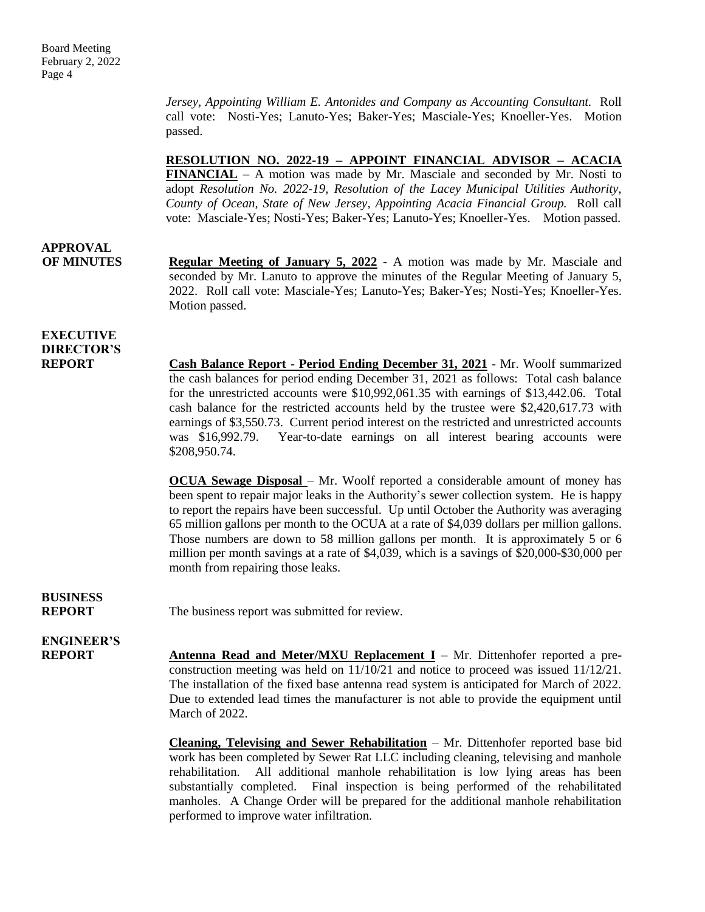*Jersey, Appointing William E. Antonides and Company as Accounting Consultant.* Roll call vote: Nosti-Yes; Lanuto-Yes; Baker-Yes; Masciale-Yes; Knoeller-Yes. Motion passed.

**RESOLUTION NO. 2022-19 – APPOINT FINANCIAL ADVISOR – ACACIA** 

**FINANCIAL** – A motion was made by Mr. Masciale and seconded by Mr. Nosti to adopt *Resolution No. 2022-19, Resolution of the Lacey Municipal Utilities Authority, County of Ocean, State of New Jersey, Appointing Acacia Financial Group.* Roll call vote: Masciale-Yes; Nosti-Yes; Baker-Yes; Lanuto-Yes; Knoeller-Yes. Motion passed.

# **APPROVAL**

**OF MINUTES Regular Meeting of January 5, 2022 -** A motion was made by Mr. Masciale and seconded by Mr. Lanuto to approve the minutes of the Regular Meeting of January 5, 2022. Roll call vote: Masciale-Yes; Lanuto-Yes; Baker-Yes; Nosti-Yes; Knoeller-Yes. Motion passed.

### **EXECUTIVE DIRECTOR'S**

**REPORT Cash Balance Report - Period Ending December 31, 2021** - Mr. Woolf summarized the cash balances for period ending December 31, 2021 as follows: Total cash balance for the unrestricted accounts were \$10,992,061.35 with earnings of \$13,442.06. Total cash balance for the restricted accounts held by the trustee were \$2,420,617.73 with earnings of \$3,550.73. Current period interest on the restricted and unrestricted accounts was \$16,992.79. Year-to-date earnings on all interest bearing accounts were \$208,950.74.

> **OCUA Sewage Disposal** – Mr. Woolf reported a considerable amount of money has been spent to repair major leaks in the Authority's sewer collection system. He is happy to report the repairs have been successful. Up until October the Authority was averaging 65 million gallons per month to the OCUA at a rate of \$4,039 dollars per million gallons. Those numbers are down to 58 million gallons per month. It is approximately 5 or 6 million per month savings at a rate of \$4,039, which is a savings of \$20,000-\$30,000 per month from repairing those leaks.

# **BUSINESS**

**REPORT** The business report was submitted for review.

# **ENGINEER'S**

**REPORT Antenna Read and Meter/MXU Replacement I** – Mr. Dittenhofer reported a preconstruction meeting was held on 11/10/21 and notice to proceed was issued 11/12/21. The installation of the fixed base antenna read system is anticipated for March of 2022. Due to extended lead times the manufacturer is not able to provide the equipment until March of 2022.

> **Cleaning, Televising and Sewer Rehabilitation** – Mr. Dittenhofer reported base bid work has been completed by Sewer Rat LLC including cleaning, televising and manhole rehabilitation. All additional manhole rehabilitation is low lying areas has been substantially completed. Final inspection is being performed of the rehabilitated manholes. A Change Order will be prepared for the additional manhole rehabilitation performed to improve water infiltration.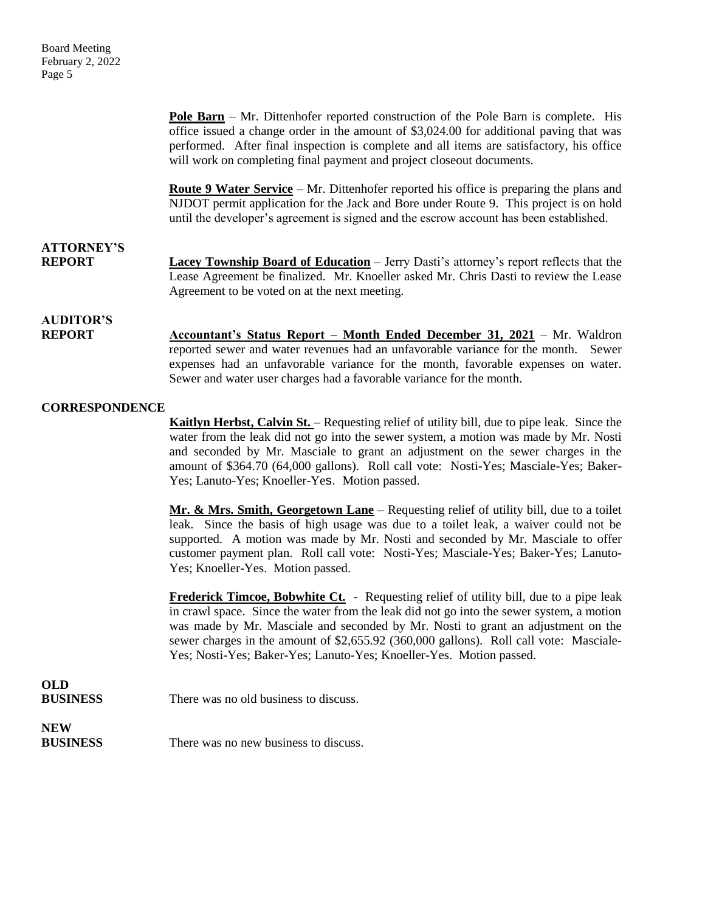**Pole Barn** – Mr. Dittenhofer reported construction of the Pole Barn is complete. His office issued a change order in the amount of \$3,024.00 for additional paving that was performed. After final inspection is complete and all items are satisfactory, his office will work on completing final payment and project closeout documents.

**Route 9 Water Service** – Mr. Dittenhofer reported his office is preparing the plans and NJDOT permit application for the Jack and Bore under Route 9. This project is on hold until the developer's agreement is signed and the escrow account has been established.

#### **ATTORNEY'S REPORT Lacey Township Board of Education** – Jerry Dasti's attorney's report reflects that the Lease Agreement be finalized. Mr. Knoeller asked Mr. Chris Dasti to review the Lease Agreement to be voted on at the next meeting.

### **AUDITOR'S**

**REPORT Accountant's Status Report – Month Ended December 31, 2021** – Mr. Waldron reported sewer and water revenues had an unfavorable variance for the month. Sewer expenses had an unfavorable variance for the month, favorable expenses on water. Sewer and water user charges had a favorable variance for the month.

#### **CORRESPONDENCE**

**Kaitlyn Herbst, Calvin St.** – Requesting relief of utility bill, due to pipe leak. Since the water from the leak did not go into the sewer system, a motion was made by Mr. Nosti and seconded by Mr. Masciale to grant an adjustment on the sewer charges in the amount of \$364.70 (64,000 gallons). Roll call vote: Nosti-Yes; Masciale-Yes; Baker-Yes; Lanuto-Yes; Knoeller-Yes. Motion passed.

**Mr. & Mrs. Smith, Georgetown Lane** – Requesting relief of utility bill, due to a toilet leak. Since the basis of high usage was due to a toilet leak, a waiver could not be supported. A motion was made by Mr. Nosti and seconded by Mr. Masciale to offer customer payment plan. Roll call vote: Nosti-Yes; Masciale-Yes; Baker-Yes; Lanuto-Yes; Knoeller-Yes. Motion passed.

**Frederick Timcoe, Bobwhite Ct.** - Requesting relief of utility bill, due to a pipe leak in crawl space. Since the water from the leak did not go into the sewer system, a motion was made by Mr. Masciale and seconded by Mr. Nosti to grant an adjustment on the sewer charges in the amount of \$2,655.92 (360,000 gallons). Roll call vote: Masciale-Yes; Nosti-Yes; Baker-Yes; Lanuto-Yes; Knoeller-Yes. Motion passed.

### **OLD**

**BUSINESS** There was no old business to discuss.

# **NEW**

**BUSINESS** There was no new business to discuss.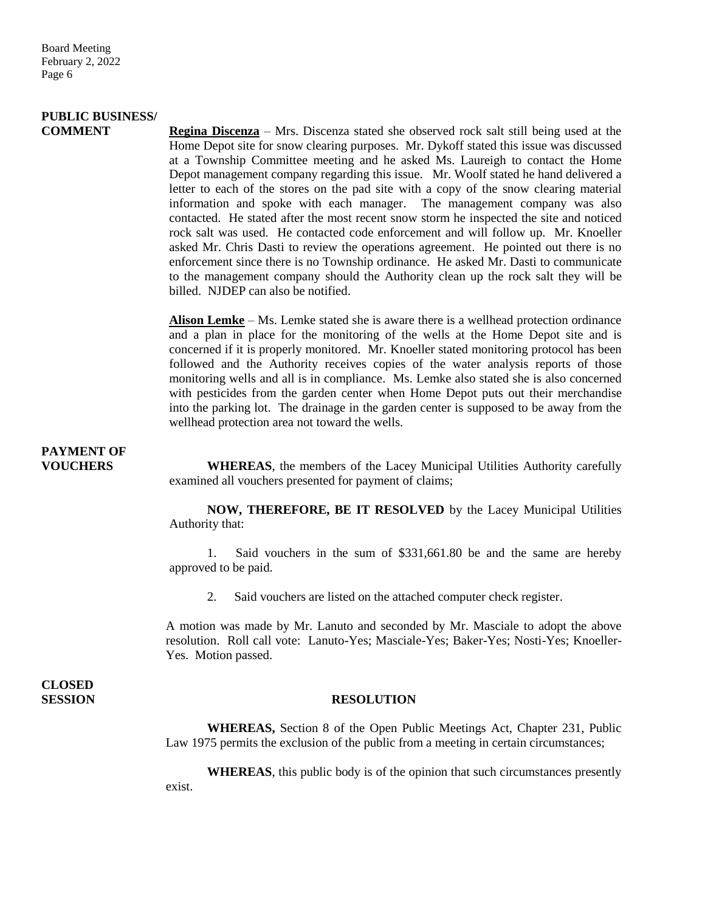## **PUBLIC BUSINESS/**

**COMMENT Regina Discenza** – Mrs. Discenza stated she observed rock salt still being used at the Home Depot site for snow clearing purposes. Mr. Dykoff stated this issue was discussed at a Township Committee meeting and he asked Ms. Laureigh to contact the Home Depot management company regarding this issue. Mr. Woolf stated he hand delivered a letter to each of the stores on the pad site with a copy of the snow clearing material information and spoke with each manager. The management company was also contacted. He stated after the most recent snow storm he inspected the site and noticed rock salt was used. He contacted code enforcement and will follow up. Mr. Knoeller asked Mr. Chris Dasti to review the operations agreement. He pointed out there is no enforcement since there is no Township ordinance. He asked Mr. Dasti to communicate to the management company should the Authority clean up the rock salt they will be billed. NJDEP can also be notified.

> **Alison Lemke** – Ms. Lemke stated she is aware there is a wellhead protection ordinance and a plan in place for the monitoring of the wells at the Home Depot site and is concerned if it is properly monitored. Mr. Knoeller stated monitoring protocol has been followed and the Authority receives copies of the water analysis reports of those monitoring wells and all is in compliance. Ms. Lemke also stated she is also concerned with pesticides from the garden center when Home Depot puts out their merchandise into the parking lot. The drainage in the garden center is supposed to be away from the wellhead protection area not toward the wells.

# **PAYMENT OF**

**VOUCHERS WHEREAS**, the members of the Lacey Municipal Utilities Authority carefully examined all vouchers presented for payment of claims;

> **NOW, THEREFORE, BE IT RESOLVED** by the Lacey Municipal Utilities Authority that:

> 1. Said vouchers in the sum of \$331,661.80 be and the same are hereby approved to be paid.

2. Said vouchers are listed on the attached computer check register.

A motion was made by Mr. Lanuto and seconded by Mr. Masciale to adopt the above resolution. Roll call vote: Lanuto-Yes; Masciale-Yes; Baker-Yes; Nosti-Yes; Knoeller-Yes. Motion passed.

**CLOSED** 

#### **SESSION RESOLUTION**

**WHEREAS,** Section 8 of the Open Public Meetings Act, Chapter 231, Public Law 1975 permits the exclusion of the public from a meeting in certain circumstances;

**WHEREAS**, this public body is of the opinion that such circumstances presently exist.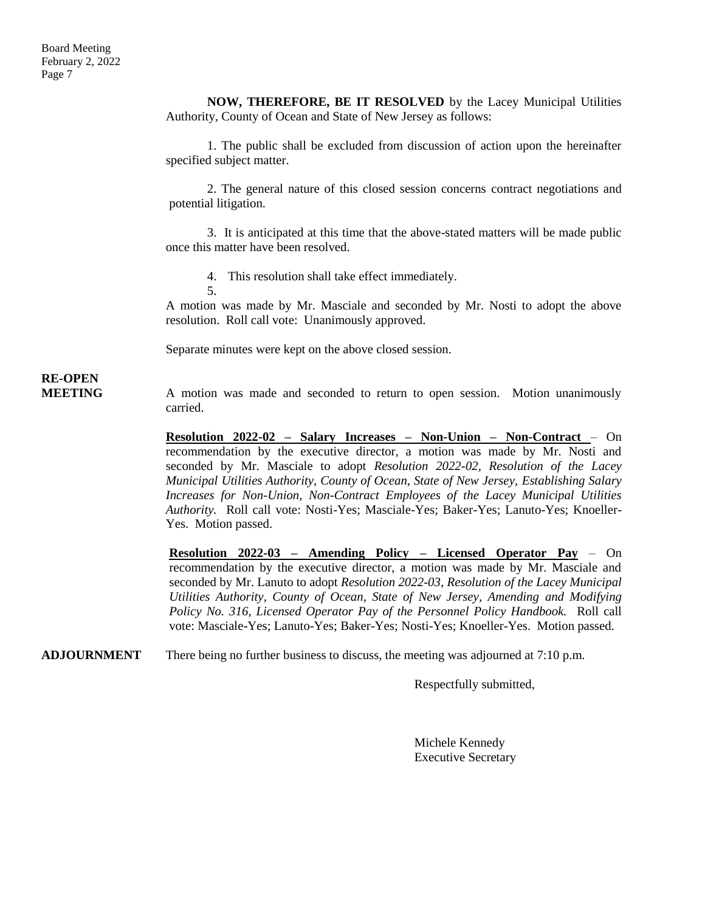**NOW, THEREFORE, BE IT RESOLVED** by the Lacey Municipal Utilities Authority, County of Ocean and State of New Jersey as follows:

1. The public shall be excluded from discussion of action upon the hereinafter specified subject matter.

2. The general nature of this closed session concerns contract negotiations and potential litigation.

3. It is anticipated at this time that the above-stated matters will be made public once this matter have been resolved.

4. This resolution shall take effect immediately.

5.

A motion was made by Mr. Masciale and seconded by Mr. Nosti to adopt the above resolution. Roll call vote: Unanimously approved.

Separate minutes were kept on the above closed session.

# **RE-OPEN**

**MEETING** A motion was made and seconded to return to open session. Motion unanimously carried.

> **Resolution 2022-02 – Salary Increases – Non-Union – Non-Contract** – On recommendation by the executive director, a motion was made by Mr. Nosti and seconded by Mr. Masciale to adopt *Resolution 2022-02, Resolution of the Lacey Municipal Utilities Authority, County of Ocean, State of New Jersey, Establishing Salary Increases for Non-Union, Non-Contract Employees of the Lacey Municipal Utilities Authority.* Roll call vote: Nosti-Yes; Masciale-Yes; Baker-Yes; Lanuto-Yes; Knoeller-Yes. Motion passed.

> **Resolution 2022-03 – Amending Policy – Licensed Operator Pay** – On recommendation by the executive director, a motion was made by Mr. Masciale and seconded by Mr. Lanuto to adopt *Resolution 2022-03, Resolution of the Lacey Municipal Utilities Authority, County of Ocean, State of New Jersey, Amending and Modifying Policy No. 316, Licensed Operator Pay of the Personnel Policy Handbook.* Roll call vote: Masciale-Yes; Lanuto-Yes; Baker-Yes; Nosti-Yes; Knoeller-Yes. Motion passed.

**ADJOURNMENT** There being no further business to discuss, the meeting was adjourned at 7:10 p.m.

Respectfully submitted,

Michele Kennedy Executive Secretary